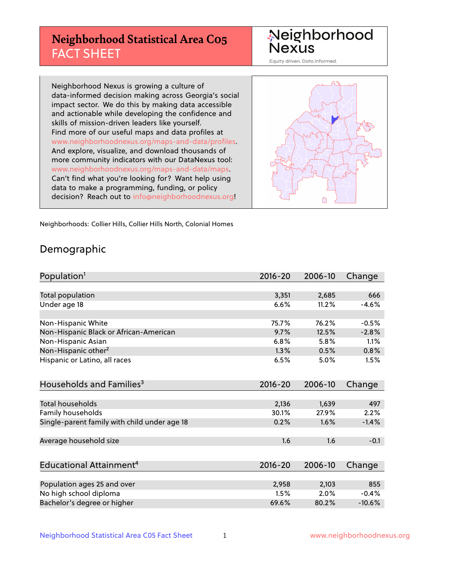# **Neighborhood Statistical Area C05** FACT SHEET

Neighborhood Nexus

Equity driven. Data informed.

Neighborhood Nexus is growing a culture of data-informed decision making across Georgia's social impact sector. We do this by making data accessible and actionable while developing the confidence and skills of mission-driven leaders like yourself. Find more of our useful maps and data profiles at www.neighborhoodnexus.org/maps-and-data/profiles. And explore, visualize, and download thousands of more community indicators with our DataNexus tool: www.neighborhoodnexus.org/maps-and-data/maps. Can't find what you're looking for? Want help using data to make a programming, funding, or policy decision? Reach out to [info@neighborhoodnexus.org!](mailto:info@neighborhoodnexus.org)



Neighborhoods: Collier Hills, Collier Hills North, Colonial Homes

### Demographic

| Population <sup>1</sup>                      | $2016 - 20$ | 2006-10 | Change   |
|----------------------------------------------|-------------|---------|----------|
|                                              |             |         |          |
| <b>Total population</b>                      | 3,351       | 2,685   | 666      |
| Under age 18                                 | 6.6%        | 11.2%   | $-4.6%$  |
|                                              |             |         |          |
| Non-Hispanic White                           | 75.7%       | 76.2%   | $-0.5%$  |
| Non-Hispanic Black or African-American       | 9.7%        | 12.5%   | $-2.8%$  |
| Non-Hispanic Asian                           | 6.8%        | 5.8%    | 1.1%     |
| Non-Hispanic other <sup>2</sup>              | 1.3%        | 0.5%    | 0.8%     |
| Hispanic or Latino, all races                | 6.5%        | 5.0%    | 1.5%     |
|                                              |             |         |          |
| Households and Families <sup>3</sup>         | $2016 - 20$ | 2006-10 | Change   |
|                                              |             |         |          |
| Total households                             | 2,136       | 1,639   | 497      |
| Family households                            | 30.1%       | 27.9%   | 2.2%     |
| Single-parent family with child under age 18 | 0.2%        | 1.6%    | $-1.4%$  |
|                                              |             |         |          |
| Average household size                       | 1.6         | 1.6     | $-0.1$   |
|                                              |             |         |          |
| Educational Attainment <sup>4</sup>          | $2016 - 20$ | 2006-10 | Change   |
|                                              |             |         |          |
| Population ages 25 and over                  | 2,958       | 2,103   | 855      |
| No high school diploma                       | 1.5%        | 2.0%    | $-0.4%$  |
| Bachelor's degree or higher                  | 69.6%       | 80.2%   | $-10.6%$ |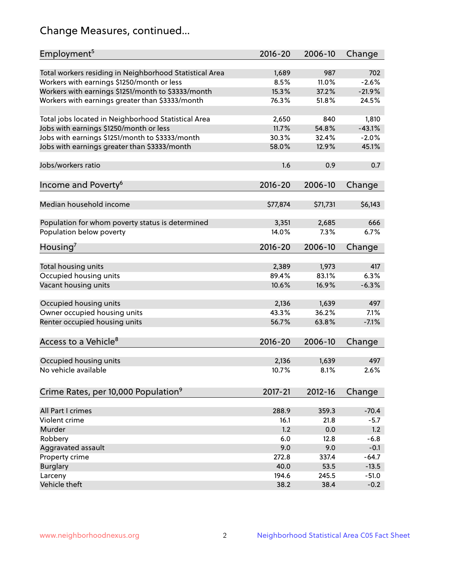# Change Measures, continued...

| Employment <sup>5</sup>                                                                               | $2016 - 20$   | 2006-10      | Change         |
|-------------------------------------------------------------------------------------------------------|---------------|--------------|----------------|
|                                                                                                       |               |              |                |
| Total workers residing in Neighborhood Statistical Area<br>Workers with earnings \$1250/month or less | 1,689<br>8.5% | 987<br>11.0% | 702<br>$-2.6%$ |
|                                                                                                       | 15.3%         | 37.2%        | $-21.9%$       |
| Workers with earnings \$1251/month to \$3333/month<br>Workers with earnings greater than \$3333/month | 76.3%         | 51.8%        | 24.5%          |
|                                                                                                       |               |              |                |
| Total jobs located in Neighborhood Statistical Area                                                   | 2,650         | 840          | 1,810          |
| Jobs with earnings \$1250/month or less                                                               | 11.7%         | 54.8%        | $-43.1%$       |
| Jobs with earnings \$1251/month to \$3333/month                                                       | 30.3%         | 32.4%        | $-2.0%$        |
| Jobs with earnings greater than \$3333/month                                                          | 58.0%         | 12.9%        | 45.1%          |
|                                                                                                       |               |              |                |
| Jobs/workers ratio                                                                                    | 1.6           | 0.9          | 0.7            |
|                                                                                                       |               |              |                |
| Income and Poverty <sup>6</sup>                                                                       | $2016 - 20$   | 2006-10      | Change         |
|                                                                                                       |               |              |                |
| Median household income                                                                               | \$77,874      | \$71,731     | \$6,143        |
|                                                                                                       |               |              |                |
| Population for whom poverty status is determined                                                      | 3,351         | 2,685        | 666            |
| Population below poverty                                                                              | 14.0%         | 7.3%         | 6.7%           |
| Housing <sup>7</sup>                                                                                  | $2016 - 20$   | 2006-10      | Change         |
|                                                                                                       |               |              |                |
| Total housing units                                                                                   | 2,389         | 1,973        | 417            |
| Occupied housing units                                                                                | 89.4%         | 83.1%        | 6.3%           |
| Vacant housing units                                                                                  | 10.6%         | 16.9%        | $-6.3%$        |
|                                                                                                       |               |              |                |
| Occupied housing units                                                                                | 2,136         | 1,639        | 497            |
| Owner occupied housing units                                                                          | 43.3%         | 36.2%        | 7.1%           |
| Renter occupied housing units                                                                         | 56.7%         | 63.8%        | $-7.1%$        |
|                                                                                                       |               |              |                |
| Access to a Vehicle <sup>8</sup>                                                                      | $2016 - 20$   | 2006-10      | Change         |
|                                                                                                       |               |              |                |
| Occupied housing units                                                                                | 2,136         | 1,639        | 497            |
| No vehicle available                                                                                  | 10.7%         | 8.1%         | 2.6%           |
| Crime Rates, per 10,000 Population <sup>9</sup>                                                       | 2017-21       | 2012-16      | Change         |
|                                                                                                       |               |              |                |
| All Part I crimes                                                                                     | 288.9         | 359.3        | $-70.4$        |
| Violent crime                                                                                         | 16.1          | 21.8         | $-5.7$         |
| Murder                                                                                                | 1.2           | 0.0          | 1.2            |
| Robbery                                                                                               | 6.0           | 12.8         | $-6.8$         |
| Aggravated assault                                                                                    | 9.0           | 9.0          | $-0.1$         |
| Property crime                                                                                        | 272.8         | 337.4        | $-64.7$        |
| <b>Burglary</b>                                                                                       | 40.0          | 53.5         | $-13.5$        |
| Larceny                                                                                               | 194.6         | 245.5        | $-51.0$        |
| Vehicle theft                                                                                         | 38.2          | 38.4         | $-0.2$         |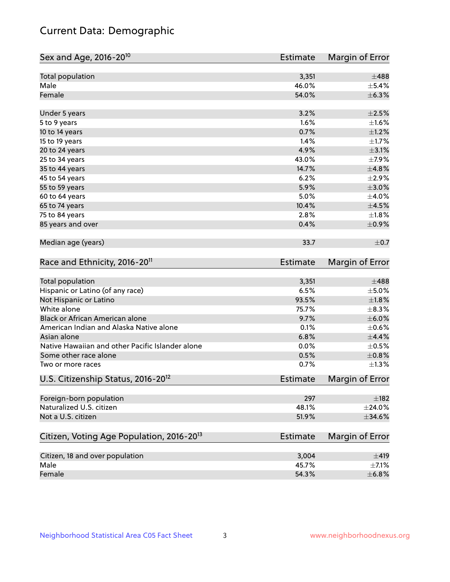# Current Data: Demographic

| Sex and Age, 2016-20 <sup>10</sup>                    | Estimate        | Margin of Error |
|-------------------------------------------------------|-----------------|-----------------|
| Total population                                      | 3,351           | $\pm 488$       |
| Male                                                  | 46.0%           | $\pm$ 5.4%      |
| Female                                                | 54.0%           | ±6.3%           |
| Under 5 years                                         | 3.2%            | $\pm 2.5\%$     |
| 5 to 9 years                                          | 1.6%            | $\pm 1.6\%$     |
| 10 to 14 years                                        | 0.7%            | $\pm 1.2\%$     |
| 15 to 19 years                                        | 1.4%            | $\pm1.7\%$      |
| 20 to 24 years                                        | 4.9%            | $\pm$ 3.1%      |
| 25 to 34 years                                        | 43.0%           | $\pm$ 7.9%      |
| 35 to 44 years                                        | 14.7%           | $\pm 4.8\%$     |
| 45 to 54 years                                        | 6.2%            | $\pm 2.9\%$     |
| 55 to 59 years                                        | 5.9%            | $\pm 3.0\%$     |
| 60 to 64 years                                        | 5.0%            | $\pm$ 4.0%      |
| 65 to 74 years                                        | 10.4%           | $\pm$ 4.5%      |
| 75 to 84 years                                        | 2.8%            | ±1.8%           |
| 85 years and over                                     | 0.4%            | $\pm$ 0.9%      |
| Median age (years)                                    | 33.7            | $\pm$ 0.7       |
| Race and Ethnicity, 2016-20 <sup>11</sup>             | <b>Estimate</b> | Margin of Error |
| Total population                                      | 3,351           | $\pm$ 488       |
| Hispanic or Latino (of any race)                      | 6.5%            | $\pm$ 5.0%      |
| Not Hispanic or Latino                                | 93.5%           | ±1.8%           |
| White alone                                           | 75.7%           | $\pm$ 8.3%      |
| Black or African American alone                       | 9.7%            | $\pm$ 6.0%      |
| American Indian and Alaska Native alone               | 0.1%            | $\pm$ 0.6%      |
| Asian alone                                           | 6.8%            | $\pm$ 4.4%      |
| Native Hawaiian and other Pacific Islander alone      | 0.0%            | $\pm$ 0.5%      |
| Some other race alone                                 | 0.5%            | $\pm$ 0.8%      |
| Two or more races                                     | 0.7%            | $\pm 1.3\%$     |
| U.S. Citizenship Status, 2016-20 <sup>12</sup>        | <b>Estimate</b> | Margin of Error |
| Foreign-born population                               | 297             | $\pm$ 182       |
| Naturalized U.S. citizen                              | 48.1%           | $\pm 24.0\%$    |
| Not a U.S. citizen                                    | 51.9%           | $\pm$ 34.6%     |
| Citizen, Voting Age Population, 2016-20 <sup>13</sup> | Estimate        | Margin of Error |
| Citizen, 18 and over population                       | 3,004           | $\pm 419$       |
| Male                                                  | 45.7%           | $\pm$ 7.1%      |
| Female                                                | 54.3%           | ±6.8%           |
|                                                       |                 |                 |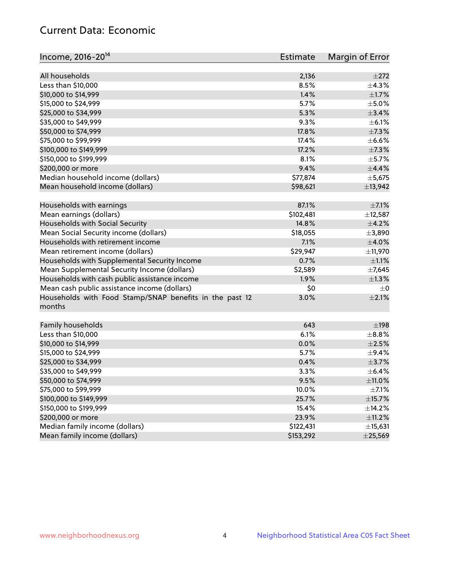# Current Data: Economic

| Income, 2016-20 <sup>14</sup>                           | Estimate  | Margin of Error |
|---------------------------------------------------------|-----------|-----------------|
|                                                         |           |                 |
| All households                                          | 2,136     | $\pm 272$       |
| Less than \$10,000                                      | 8.5%      | ±4.3%           |
| \$10,000 to \$14,999                                    | 1.4%      | $\pm1.7\%$      |
| \$15,000 to \$24,999                                    | 5.7%      | $\pm$ 5.0%      |
| \$25,000 to \$34,999                                    | 5.3%      | $\pm$ 3.4%      |
| \$35,000 to \$49,999                                    | 9.3%      | $\pm$ 6.1%      |
| \$50,000 to \$74,999                                    | 17.8%     | $\pm$ 7.3%      |
| \$75,000 to \$99,999                                    | 17.4%     | $\pm$ 6.6%      |
| \$100,000 to \$149,999                                  | 17.2%     | $\pm$ 7.3%      |
| \$150,000 to \$199,999                                  | 8.1%      | $\pm$ 5.7%      |
| \$200,000 or more                                       | 9.4%      | $\pm$ 4.4%      |
| Median household income (dollars)                       | \$77,874  | $\pm$ 5,675     |
| Mean household income (dollars)                         | \$98,621  | ±13,942         |
| Households with earnings                                | 87.1%     | $\pm$ 7.1%      |
| Mean earnings (dollars)                                 | \$102,481 | ±12,587         |
| Households with Social Security                         | 14.8%     | $\pm$ 4.2%      |
| Mean Social Security income (dollars)                   | \$18,055  | ±3,890          |
| Households with retirement income                       | 7.1%      | $\pm 4.0\%$     |
| Mean retirement income (dollars)                        | \$29,947  | ±11,970         |
| Households with Supplemental Security Income            | 0.7%      | $\pm 1.1\%$     |
| Mean Supplemental Security Income (dollars)             | \$2,589   | $\pm$ 7,645     |
| Households with cash public assistance income           | 1.9%      | $\pm$ 1.3%      |
| Mean cash public assistance income (dollars)            | \$0       | $\pm 0$         |
| Households with Food Stamp/SNAP benefits in the past 12 | 3.0%      | $\pm 2.1\%$     |
| months                                                  |           |                 |
| Family households                                       | 643       | $\pm$ 198       |
| Less than \$10,000                                      | 6.1%      | $\pm$ 8.8%      |
| \$10,000 to \$14,999                                    | 0.0%      | $\pm 2.5\%$     |
| \$15,000 to \$24,999                                    | 5.7%      | $\pm$ 9.4%      |
|                                                         |           |                 |
| \$25,000 to \$34,999                                    | 0.4%      | $\pm$ 3.7%      |
| \$35,000 to \$49,999                                    | 3.3%      | $\pm$ 6.4%      |
| \$50,000 to \$74,999                                    | 9.5%      | $\pm$ 11.0%     |
| \$75,000 to \$99,999                                    | 10.0%     | $\pm$ 7.1%      |
| \$100,000 to \$149,999                                  | 25.7%     | ±15.7%          |
| \$150,000 to \$199,999                                  | 15.4%     | ±14.2%          |
| \$200,000 or more                                       | 23.9%     | $\pm$ 11.2%     |
| Median family income (dollars)                          | \$122,431 | ±15,631         |
| Mean family income (dollars)                            | \$153,292 | $±$ 25,569      |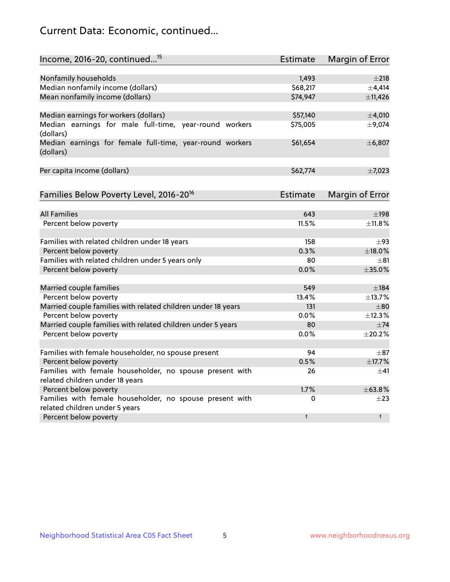# Current Data: Economic, continued...

| Income, 2016-20, continued <sup>15</sup>                                                   | <b>Estimate</b> | Margin of Error        |
|--------------------------------------------------------------------------------------------|-----------------|------------------------|
|                                                                                            |                 |                        |
| Nonfamily households                                                                       | 1,493           | $\pm 218$              |
| Median nonfamily income (dollars)                                                          | \$68,217        | $\pm$ 4,414            |
| Mean nonfamily income (dollars)                                                            | \$74,947        | ±11,426                |
| Median earnings for workers (dollars)                                                      | \$57,140        | ±4,010                 |
| Median earnings for male full-time, year-round workers<br>(dollars)                        | \$75,005        | ±9,074                 |
| Median earnings for female full-time, year-round workers<br>(dollars)                      | \$61,654        | ±6,807                 |
| Per capita income (dollars)                                                                | \$62,774        | $\pm$ 7,023            |
| Families Below Poverty Level, 2016-20 <sup>16</sup>                                        | <b>Estimate</b> | <b>Margin of Error</b> |
|                                                                                            |                 |                        |
| <b>All Families</b>                                                                        | 643             | $\pm$ 198              |
| Percent below poverty                                                                      | 11.5%           | ±11.8%                 |
| Families with related children under 18 years                                              | 158             | $\pm$ 93               |
| Percent below poverty                                                                      | 0.3%            | ±18.0%                 |
| Families with related children under 5 years only                                          | 80              | $+81$                  |
| Percent below poverty                                                                      | 0.0%            | ±35.0%                 |
| Married couple families                                                                    | 549             | $\pm$ 184              |
| Percent below poverty                                                                      | 13.4%           | ±13.7%                 |
| Married couple families with related children under 18 years                               | 131             | $\pm 80$               |
| Percent below poverty                                                                      | $0.0\%$         | ±12.3%                 |
| Married couple families with related children under 5 years                                | 80              | $\pm$ 74               |
| Percent below poverty                                                                      | $0.0\%$         | ±20.2%                 |
|                                                                                            |                 |                        |
| Families with female householder, no spouse present                                        | 94              | $\pm$ 87               |
| Percent below poverty                                                                      | 0.5%            | ±17.7%                 |
| Families with female householder, no spouse present with                                   | 26              | $\pm$ 41               |
| related children under 18 years                                                            |                 |                        |
| Percent below poverty                                                                      | 1.7%            | ±63.8%                 |
| Families with female householder, no spouse present with<br>related children under 5 years | 0               | $\pm 23$               |
| Percent below poverty                                                                      | $\ddagger$      | $\ddagger$             |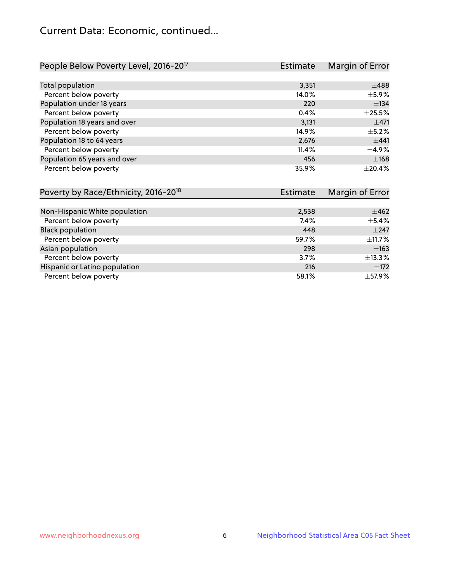# Current Data: Economic, continued...

| People Below Poverty Level, 2016-20 <sup>17</sup> | <b>Estimate</b> | Margin of Error |
|---------------------------------------------------|-----------------|-----------------|
|                                                   |                 |                 |
| Total population                                  | 3,351           | $\pm 488$       |
| Percent below poverty                             | 14.0%           | $\pm$ 5.9%      |
| Population under 18 years                         | 220             | ±134            |
| Percent below poverty                             | 0.4%            | $\pm 25.5\%$    |
| Population 18 years and over                      | 3,131           | $\pm$ 471       |
| Percent below poverty                             | 14.9%           | $+5.2%$         |
| Population 18 to 64 years                         | 2,676           | ±441            |
| Percent below poverty                             | 11.4%           | $\pm$ 4.9%      |
| Population 65 years and over                      | 456             | ±168            |
| Percent below poverty                             | 35.9%           | $\pm 20.4\%$    |

| Poverty by Race/Ethnicity, 2016-20 <sup>18</sup> | Estimate |             |
|--------------------------------------------------|----------|-------------|
|                                                  |          |             |
| Non-Hispanic White population                    | 2,538    | $\pm 462$   |
| Percent below poverty                            | $7.4\%$  | $\pm$ 5.4%  |
| <b>Black population</b>                          | 448      | $+247$      |
| Percent below poverty                            | 59.7%    | $\pm$ 11.7% |
| Asian population                                 | 298      | $\pm 163$   |
| Percent below poverty                            | 3.7%     | ±13.3%      |
| Hispanic or Latino population                    | 216      | $\pm$ 172   |
| Percent below poverty                            | 58.1%    | $\pm$ 57.9% |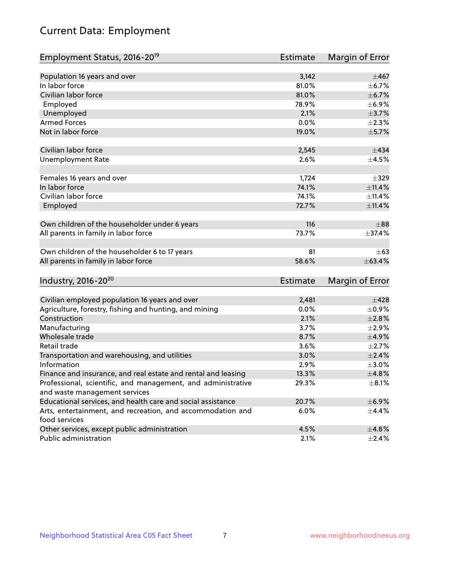# Current Data: Employment

| Employment Status, 2016-20 <sup>19</sup>                                    | <b>Estimate</b> | Margin of Error |
|-----------------------------------------------------------------------------|-----------------|-----------------|
|                                                                             |                 |                 |
| Population 16 years and over                                                | 3,142           | $\pm$ 467       |
| In labor force                                                              | 81.0%           | $\pm$ 6.7%      |
| Civilian labor force                                                        | 81.0%           | ±6.7%           |
| Employed                                                                    | 78.9%           | $\pm$ 6.9%      |
| Unemployed                                                                  | 2.1%            | $\pm$ 3.7%      |
| <b>Armed Forces</b>                                                         | 0.0%            | $\pm 2.3\%$     |
| Not in labor force                                                          | 19.0%           | $\pm$ 5.7%      |
| Civilian labor force                                                        | 2,545           | ±434            |
| <b>Unemployment Rate</b>                                                    | 2.6%            | $\pm$ 4.5%      |
| Females 16 years and over                                                   | 1,724           | $\pm$ 329       |
| In labor force                                                              | 74.1%           | ±11.4%          |
| Civilian labor force                                                        | 74.1%           | ±11.4%          |
| Employed                                                                    | 72.7%           | $\pm$ 11.4%     |
| Own children of the householder under 6 years                               | 116             | $\pm$ 88        |
| All parents in family in labor force                                        | 73.7%           | ±37.4%          |
| Own children of the householder 6 to 17 years                               | 81              | $\pm 63$        |
| All parents in family in labor force                                        | 58.6%           | ±63.4%          |
|                                                                             |                 |                 |
| Industry, 2016-20 <sup>20</sup>                                             | <b>Estimate</b> | Margin of Error |
|                                                                             |                 |                 |
| Civilian employed population 16 years and over                              | 2,481           | $\pm$ 428       |
| Agriculture, forestry, fishing and hunting, and mining                      | 0.0%            | $\pm$ 0.9%      |
| Construction                                                                | 2.1%            | $\pm 2.8\%$     |
| Manufacturing                                                               | 3.7%            | $\pm 2.9\%$     |
| Wholesale trade                                                             | 8.7%            | $\pm$ 4.9%      |
| Retail trade                                                                | 3.6%            | $\pm 2.7\%$     |
| Transportation and warehousing, and utilities                               | 3.0%            | $\pm 2.4\%$     |
| Information                                                                 | 2.9%            | $\pm 3.0\%$     |
| Finance and insurance, and real estate and rental and leasing               | 13.3%           | ±4.8%           |
| Professional, scientific, and management, and administrative                | 29.3%           | $\pm 8.1\%$     |
| and waste management services                                               |                 |                 |
| Educational services, and health care and social assistance                 | 20.7%           | ±6.9%           |
| Arts, entertainment, and recreation, and accommodation and<br>food services | 6.0%            | $\pm$ 4.4%      |
| Other services, except public administration                                | 4.5%            | ±4.8%           |
| Public administration                                                       | 2.1%            | $\pm 2.4\%$     |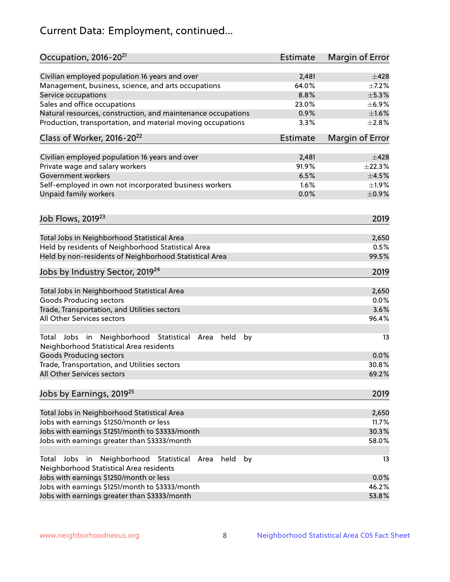# Current Data: Employment, continued...

| Occupation, 2016-20 <sup>21</sup>                                                                       | <b>Estimate</b> | Margin of Error |
|---------------------------------------------------------------------------------------------------------|-----------------|-----------------|
| Civilian employed population 16 years and over                                                          | 2,481           | $\pm 428$       |
| Management, business, science, and arts occupations                                                     | 64.0%           | $\pm$ 7.2%      |
| Service occupations                                                                                     | 8.8%            | $\pm$ 5.3%      |
| Sales and office occupations                                                                            | 23.0%           | $\pm$ 6.9%      |
| Natural resources, construction, and maintenance occupations                                            | 0.9%            | $\pm1.6\%$      |
| Production, transportation, and material moving occupations                                             | 3.3%            | $\pm 2.8\%$     |
| Class of Worker, 2016-20 <sup>22</sup>                                                                  | <b>Estimate</b> | Margin of Error |
| Civilian employed population 16 years and over                                                          | 2,481           | $\pm 428$       |
| Private wage and salary workers                                                                         | 91.9%           | ±22.3%          |
| Government workers                                                                                      | 6.5%            | $\pm$ 4.5%      |
| Self-employed in own not incorporated business workers                                                  | 1.6%            | $\pm 1.9\%$     |
| Unpaid family workers                                                                                   | 0.0%            | $\pm$ 0.9%      |
|                                                                                                         |                 |                 |
| Job Flows, 2019 <sup>23</sup>                                                                           |                 | 2019            |
| Total Jobs in Neighborhood Statistical Area                                                             |                 | 2,650           |
| Held by residents of Neighborhood Statistical Area                                                      |                 | 0.5%            |
| Held by non-residents of Neighborhood Statistical Area                                                  |                 | 99.5%           |
|                                                                                                         |                 |                 |
| Jobs by Industry Sector, 2019 <sup>24</sup>                                                             |                 | 2019            |
| Total Jobs in Neighborhood Statistical Area                                                             |                 | 2,650           |
| <b>Goods Producing sectors</b>                                                                          |                 | 0.0%            |
| Trade, Transportation, and Utilities sectors                                                            |                 | 3.6%            |
| All Other Services sectors                                                                              |                 | 96.4%           |
| Total Jobs in Neighborhood Statistical<br>held<br>by<br>Area<br>Neighborhood Statistical Area residents |                 | 13              |
| <b>Goods Producing sectors</b>                                                                          |                 | 0.0%            |
| Trade, Transportation, and Utilities sectors                                                            |                 | 30.8%           |
| All Other Services sectors                                                                              |                 | 69.2%           |
| Jobs by Earnings, 2019 <sup>25</sup>                                                                    |                 | 2019            |
| Total Jobs in Neighborhood Statistical Area                                                             |                 | 2,650           |
| Jobs with earnings \$1250/month or less                                                                 |                 | 11.7%           |
| Jobs with earnings \$1251/month to \$3333/month                                                         |                 | 30.3%           |
| Jobs with earnings greater than \$3333/month                                                            |                 | 58.0%           |
| Neighborhood Statistical<br>Jobs<br>in<br>held<br>by<br>Total<br>Area                                   |                 | 13              |
| Neighborhood Statistical Area residents<br>Jobs with earnings \$1250/month or less                      |                 |                 |
| Jobs with earnings \$1251/month to \$3333/month                                                         |                 | 0.0%<br>46.2%   |
| Jobs with earnings greater than \$3333/month                                                            |                 | 53.8%           |
|                                                                                                         |                 |                 |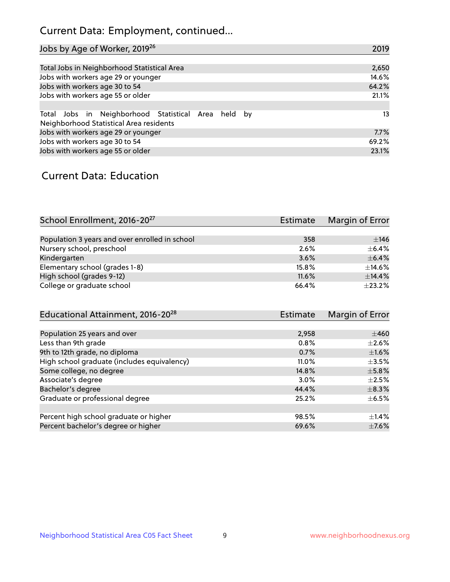# Current Data: Employment, continued...

| Jobs by Age of Worker, 2019 <sup>26</sup>                                                      | 2019  |
|------------------------------------------------------------------------------------------------|-------|
|                                                                                                |       |
| Total Jobs in Neighborhood Statistical Area                                                    | 2,650 |
| Jobs with workers age 29 or younger                                                            | 14.6% |
| Jobs with workers age 30 to 54                                                                 | 64.2% |
| Jobs with workers age 55 or older                                                              | 21.1% |
|                                                                                                |       |
| Total Jobs in Neighborhood Statistical Area held by<br>Neighborhood Statistical Area residents | 13    |
| Jobs with workers age 29 or younger                                                            | 7.7%  |
| Jobs with workers age 30 to 54                                                                 | 69.2% |
| Jobs with workers age 55 or older                                                              | 23.1% |

### Current Data: Education

| School Enrollment, 2016-20 <sup>27</sup>       | Estimate | Margin of Error |
|------------------------------------------------|----------|-----------------|
|                                                |          |                 |
| Population 3 years and over enrolled in school | 358      | ±146            |
| Nursery school, preschool                      | 2.6%     | $+6.4%$         |
| Kindergarten                                   | 3.6%     | $\pm$ 6.4%      |
| Elementary school (grades 1-8)                 | 15.8%    | $\pm$ 14.6%     |
| High school (grades 9-12)                      | 11.6%    | $\pm$ 14.4%     |
| College or graduate school                     | 66.4%    | ±23.2%          |

| Educational Attainment, 2016-20 <sup>28</sup> | Estimate | Margin of Error |
|-----------------------------------------------|----------|-----------------|
|                                               |          |                 |
| Population 25 years and over                  | 2,958    | $\pm 460$       |
| Less than 9th grade                           | 0.8%     | $\pm 2.6\%$     |
| 9th to 12th grade, no diploma                 | 0.7%     | $\pm1.6\%$      |
| High school graduate (includes equivalency)   | $11.0\%$ | $\pm$ 3.5%      |
| Some college, no degree                       | 14.8%    | $\pm$ 5.8%      |
| Associate's degree                            | 3.0%     | $\pm 2.5\%$     |
| Bachelor's degree                             | 44.4%    | $\pm$ 8.3%      |
| Graduate or professional degree               | 25.2%    | $\pm$ 6.5%      |
|                                               |          |                 |
| Percent high school graduate or higher        | 98.5%    | $\pm$ 1.4%      |
| Percent bachelor's degree or higher           | 69.6%    | $\pm$ 7.6%      |
|                                               |          |                 |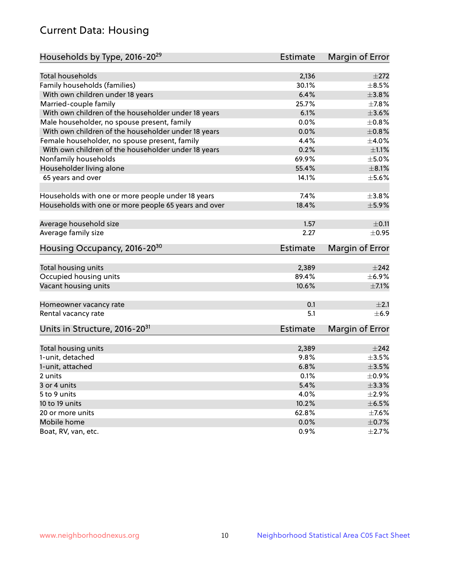# Current Data: Housing

| Households by Type, 2016-20 <sup>29</sup>            | <b>Estimate</b> | Margin of Error |
|------------------------------------------------------|-----------------|-----------------|
|                                                      |                 |                 |
| Total households                                     | 2,136           | $\pm 272$       |
| Family households (families)                         | 30.1%           | $\pm$ 8.5%      |
| With own children under 18 years                     | 6.4%            | $\pm$ 3.8%      |
| Married-couple family                                | 25.7%           | ±7.8%           |
| With own children of the householder under 18 years  | 6.1%            | $\pm 3.6\%$     |
| Male householder, no spouse present, family          | 0.0%            | $\pm$ 0.8%      |
| With own children of the householder under 18 years  | 0.0%            | $\pm 0.8\%$     |
| Female householder, no spouse present, family        | 4.4%            | $\pm$ 4.0%      |
| With own children of the householder under 18 years  | 0.2%            | $\pm 1.1\%$     |
| Nonfamily households                                 | 69.9%           | $\pm$ 5.0%      |
| Householder living alone                             | 55.4%           | $\pm 8.1\%$     |
| 65 years and over                                    | 14.1%           | $\pm$ 5.6%      |
|                                                      |                 |                 |
| Households with one or more people under 18 years    | 7.4%            | $\pm$ 3.8%      |
| Households with one or more people 65 years and over | 18.4%           | $\pm$ 5.9%      |
|                                                      |                 |                 |
| Average household size                               | 1.57            | $\pm$ 0.11      |
| Average family size                                  | 2.27            | $\pm$ 0.95      |
| Housing Occupancy, 2016-20 <sup>30</sup>             | <b>Estimate</b> | Margin of Error |
|                                                      |                 |                 |
| Total housing units                                  | 2,389           | $\pm 242$       |
| Occupied housing units                               | 89.4%           | $\pm$ 6.9%      |
| Vacant housing units                                 | 10.6%           | $\pm$ 7.1%      |
| Homeowner vacancy rate                               | 0.1             | $\pm 2.1$       |
| Rental vacancy rate                                  | 5.1             | $+6.9$          |
| Units in Structure, 2016-20 <sup>31</sup>            | Estimate        | Margin of Error |
|                                                      |                 |                 |
| Total housing units                                  | 2,389           | $\pm 242$       |
| 1-unit, detached                                     | 9.8%            | $\pm 3.5\%$     |
| 1-unit, attached                                     | 6.8%            | $\pm 3.5\%$     |
| 2 units                                              | 0.1%            | $\pm$ 0.9%      |
| 3 or 4 units                                         | 5.4%            | $\pm$ 3.3%      |
| 5 to 9 units                                         | 4.0%            | $\pm 2.9\%$     |
| 10 to 19 units                                       | 10.2%           | $\pm$ 6.5%      |
| 20 or more units                                     | 62.8%           | $\pm$ 7.6%      |
| Mobile home                                          | 0.0%            | $\pm$ 0.7%      |
| Boat, RV, van, etc.                                  | 0.9%            | $\pm 2.7\%$     |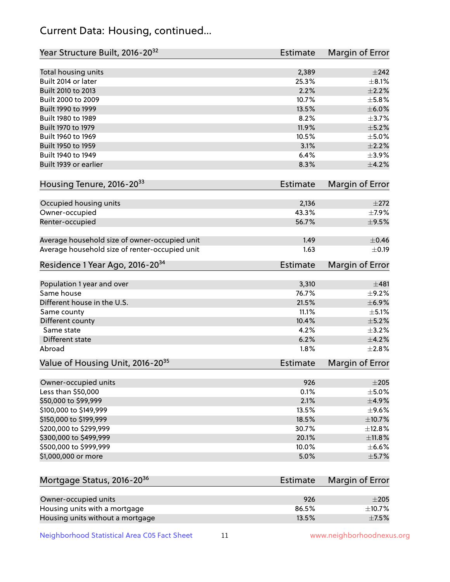# Current Data: Housing, continued...

| Year Structure Built, 2016-20 <sup>32</sup>           | <b>Estimate</b> | <b>Margin of Error</b> |
|-------------------------------------------------------|-----------------|------------------------|
| Total housing units                                   | 2,389           | $\pm 242$              |
| Built 2014 or later                                   | 25.3%           | $\pm$ 8.1%             |
| Built 2010 to 2013                                    | 2.2%            | $\pm 2.2\%$            |
| Built 2000 to 2009                                    | 10.7%           | $\pm$ 5.8%             |
| Built 1990 to 1999                                    | 13.5%           | $\pm$ 6.0%             |
| Built 1980 to 1989                                    | 8.2%            | $\pm$ 3.7%             |
| Built 1970 to 1979                                    | 11.9%           | $\pm$ 5.2%             |
| Built 1960 to 1969                                    | 10.5%           | $\pm$ 5.0%             |
| Built 1950 to 1959                                    | 3.1%            | $\pm 2.2\%$            |
| Built 1940 to 1949                                    | 6.4%            | $\pm$ 3.9%             |
| Built 1939 or earlier                                 | 8.3%            | $\pm$ 4.2%             |
| Housing Tenure, 2016-2033                             | Estimate        | Margin of Error        |
| Occupied housing units                                | 2,136           | $\pm 272$              |
| Owner-occupied                                        | 43.3%           | $\pm$ 7.9%             |
| Renter-occupied                                       | 56.7%           | $\pm$ 9.5%             |
| Average household size of owner-occupied unit         | 1.49            | $\pm$ 0.46             |
| Average household size of renter-occupied unit        | 1.63            | $\pm$ 0.19             |
| Residence 1 Year Ago, 2016-20 <sup>34</sup>           | <b>Estimate</b> | <b>Margin of Error</b> |
| Population 1 year and over                            | 3,310           | ±481                   |
| Same house                                            | 76.7%           | $\pm$ 9.2%             |
| Different house in the U.S.                           | 21.5%           | ±6.9%                  |
| Same county                                           | 11.1%           | $\pm$ 5.1%             |
| Different county                                      | 10.4%           | $\pm$ 5.2%             |
| Same state                                            | 4.2%            | $\pm$ 3.2%             |
| Different state                                       | 6.2%            | $\pm$ 4.2%             |
| Abroad                                                | 1.8%            | ±2.8%                  |
| Value of Housing Unit, 2016-20 <sup>35</sup>          | <b>Estimate</b> | Margin of Error        |
| Owner-occupied units                                  | 926             | $\pm 205$              |
| Less than \$50,000                                    | 0.1%            | $\pm$ 5.0%             |
| \$50,000 to \$99,999                                  | 2.1%            | $\pm$ 4.9%             |
| \$100,000 to \$149,999                                | 13.5%           | $\pm$ 9.6%             |
| \$150,000 to \$199,999                                | 18.5%           | ±10.7%                 |
| \$200,000 to \$299,999                                | 30.7%           | ±12.8%                 |
| \$300,000 to \$499,999                                | 20.1%           | ±11.8%                 |
| \$500,000 to \$999,999                                | 10.0%           | $\pm$ 6.6%             |
| \$1,000,000 or more                                   | 5.0%            | $\pm$ 5.7%             |
| Mortgage Status, 2016-20 <sup>36</sup>                | Estimate        | Margin of Error        |
|                                                       |                 |                        |
| Owner-occupied units<br>Housing units with a mortgage | 926<br>86.5%    | $\pm 205$<br>±10.7%    |
|                                                       |                 |                        |

Neighborhood Statistical Area C05 Fact Sheet 11 11 www.neighborhoodnexus.org

Housing units without a mortgage  $\pm 7.5\%$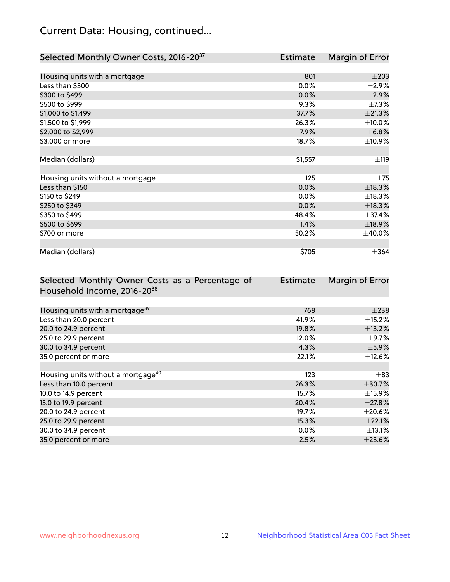# Current Data: Housing, continued...

| Selected Monthly Owner Costs, 2016-20 <sup>37</sup> | Estimate | Margin of Error |
|-----------------------------------------------------|----------|-----------------|
|                                                     |          |                 |
| Housing units with a mortgage                       | 801      | $\pm 203$       |
| Less than \$300                                     | 0.0%     | $\pm 2.9\%$     |
| \$300 to \$499                                      | 0.0%     | $\pm 2.9\%$     |
| \$500 to \$999                                      | 9.3%     | $\pm$ 7.3%      |
| \$1,000 to \$1,499                                  | 37.7%    | ±21.3%          |
| \$1,500 to \$1,999                                  | 26.3%    | $\pm$ 10.0%     |
| \$2,000 to \$2,999                                  | 7.9%     | ±6.8%           |
| \$3,000 or more                                     | 18.7%    | ±10.9%          |
|                                                     |          |                 |
| Median (dollars)                                    | \$1,557  | ±119            |
|                                                     |          |                 |
| Housing units without a mortgage                    | 125      | $\pm 75$        |
| Less than \$150                                     | 0.0%     | ±18.3%          |
| \$150 to \$249                                      | 0.0%     | ±18.3%          |
| \$250 to \$349                                      | 0.0%     | ±18.3%          |
| \$350 to \$499                                      | 48.4%    | ±37.4%          |
| \$500 to \$699                                      | 1.4%     | ±18.9%          |
| \$700 or more                                       | 50.2%    | $\pm$ 40.0%     |
|                                                     |          |                 |
| Median (dollars)                                    | \$705    | $\pm$ 364       |

| Selected Monthly Owner Costs as a Percentage of | <b>Estimate</b> | Margin of Error |
|-------------------------------------------------|-----------------|-----------------|
| Household Income, 2016-2038                     |                 |                 |
|                                                 |                 |                 |
| Housing units with a mortgage <sup>39</sup>     | 768             | $\pm 238$       |
| Less than 20.0 percent                          | 41.9%           | $\pm$ 15.2%     |
| 20.0 to 24.9 percent                            | 19.8%           | ±13.2%          |
| 25.0 to 29.9 percent                            | 12.0%           | $\pm$ 9.7%      |
| 30.0 to 34.9 percent                            | 4.3%            | $\pm$ 5.9%      |
| 35.0 percent or more                            | 22.1%           | $\pm$ 12.6%     |
|                                                 |                 |                 |
| Housing units without a mortgage <sup>40</sup>  | 123             | $\pm$ 83        |
| Less than 10.0 percent                          | 26.3%           | $\pm$ 30.7%     |
| 10.0 to 14.9 percent                            | 15.7%           | $\pm$ 15.9%     |
| 15.0 to 19.9 percent                            | 20.4%           | $\pm$ 27.8%     |
| 20.0 to 24.9 percent                            | 19.7%           | $\pm 20.6\%$    |
| 25.0 to 29.9 percent                            | 15.3%           | $\pm$ 22.1%     |
| 30.0 to 34.9 percent                            | $0.0\%$         | $\pm$ 13.1%     |
| 35.0 percent or more                            | 2.5%            | $\pm$ 23.6%     |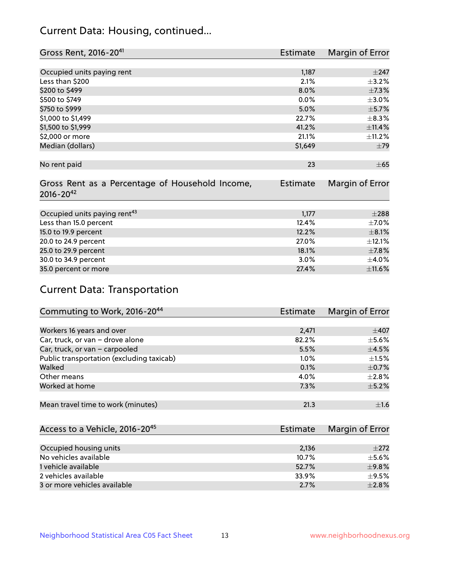# Current Data: Housing, continued...

| Gross Rent, 2016-20 <sup>41</sup>               | <b>Estimate</b> | Margin of Error |
|-------------------------------------------------|-----------------|-----------------|
|                                                 |                 |                 |
| Occupied units paying rent                      | 1,187           | $\pm$ 247       |
| Less than \$200                                 | 2.1%            | $\pm$ 3.2%      |
| \$200 to \$499                                  | 8.0%            | ±7.3%           |
| \$500 to \$749                                  | 0.0%            | $\pm$ 3.0%      |
| \$750 to \$999                                  | 5.0%            | $\pm$ 5.7%      |
| \$1,000 to \$1,499                              | 22.7%           | $\pm$ 8.3%      |
| \$1,500 to \$1,999                              | 41.2%           | ±11.4%          |
| \$2,000 or more                                 | 21.1%           | ±11.2%          |
| Median (dollars)                                | \$1,649         | ±79             |
|                                                 |                 |                 |
| No rent paid                                    | 23              | $\pm 65$        |
|                                                 |                 |                 |
| Gross Rent as a Percentage of Household Income, | <b>Estimate</b> | Margin of Error |
| $2016 - 20^{42}$                                |                 |                 |
|                                                 |                 |                 |
| Occupied units paying rent <sup>43</sup>        | 1,177           | $\pm 288$       |
| Less than 15.0 percent                          | 12.4%           | $\pm$ 7.0%      |
| 15.0 to 19.9 percent                            | 12.2%           | $\pm$ 8.1%      |
| 20.0 to 24.9 percent                            | 27.0%           | ±12.1%          |
| 25.0 to 29.9 percent                            | 18.1%           | $\pm$ 7.8%      |
| 30.0 to 34.9 percent                            | 3.0%            | $\pm$ 4.0%      |
| 35.0 percent or more                            | 27.4%           | $\pm$ 11.6%     |

# Current Data: Transportation

| Commuting to Work, 2016-20 <sup>44</sup>  | <b>Estimate</b> | Margin of Error |
|-------------------------------------------|-----------------|-----------------|
|                                           |                 |                 |
| Workers 16 years and over                 | 2,471           | $\pm$ 407       |
| Car, truck, or van - drove alone          | 82.2%           | $\pm$ 5.6%      |
| Car, truck, or van - carpooled            | 5.5%            | $\pm$ 4.5%      |
| Public transportation (excluding taxicab) | $1.0\%$         | $\pm 1.5\%$     |
| Walked                                    | 0.1%            | $\pm$ 0.7%      |
| Other means                               | 4.0%            | $\pm 2.8\%$     |
| Worked at home                            | 7.3%            | $\pm$ 5.2%      |
|                                           |                 |                 |
| Mean travel time to work (minutes)        | 21.3            | ±1.6            |

| Access to a Vehicle, 2016-20 <sup>45</sup> | Estimate | Margin of Error |
|--------------------------------------------|----------|-----------------|
|                                            |          |                 |
| Occupied housing units                     | 2,136    | $\pm 272$       |
| No vehicles available                      | 10.7%    | $\pm$ 5.6%      |
| 1 vehicle available                        | 52.7%    | ±9.8%           |
| 2 vehicles available                       | 33.9%    | $+9.5%$         |
| 3 or more vehicles available               | 2.7%     | $+2.8%$         |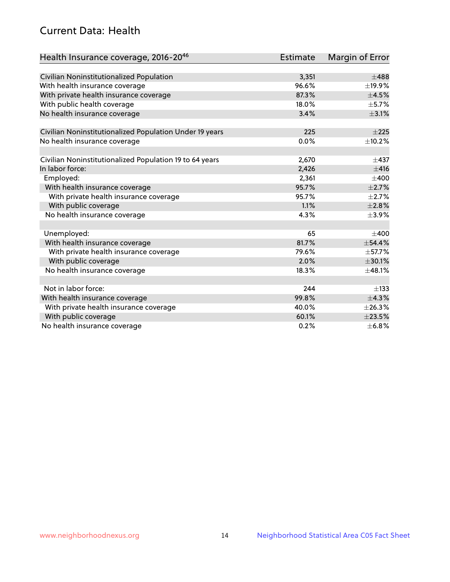# Current Data: Health

| Health Insurance coverage, 2016-2046                    | <b>Estimate</b> | <b>Margin of Error</b> |
|---------------------------------------------------------|-----------------|------------------------|
|                                                         |                 |                        |
| Civilian Noninstitutionalized Population                | 3,351           | $\pm 488$              |
| With health insurance coverage                          | 96.6%           | ±19.9%                 |
| With private health insurance coverage                  | 87.3%           | $\pm 4.5\%$            |
| With public health coverage                             | 18.0%           | $\pm$ 5.7%             |
| No health insurance coverage                            | 3.4%            | $\pm$ 3.1%             |
| Civilian Noninstitutionalized Population Under 19 years | 225             | $+225$                 |
| No health insurance coverage                            | 0.0%            | ±10.2%                 |
|                                                         |                 |                        |
| Civilian Noninstitutionalized Population 19 to 64 years | 2,670           | $\pm$ 437              |
| In labor force:                                         | 2,426           | ±416                   |
| Employed:                                               | 2,361           | $\pm 400$              |
| With health insurance coverage                          | 95.7%           | $\pm 2.7\%$            |
| With private health insurance coverage                  | 95.7%           | $\pm 2.7\%$            |
| With public coverage                                    | 1.1%            | $\pm 2.8\%$            |
| No health insurance coverage                            | 4.3%            | $\pm$ 3.9%             |
|                                                         |                 |                        |
| Unemployed:                                             | 65              | $+400$                 |
| With health insurance coverage                          | 81.7%           | ±54.4%                 |
| With private health insurance coverage                  | 79.6%           | ±57.7%                 |
| With public coverage                                    | 2.0%            | ±30.1%                 |
| No health insurance coverage                            | 18.3%           | ±48.1%                 |
|                                                         |                 |                        |
| Not in labor force:                                     | 244             | $\pm$ 133              |
| With health insurance coverage                          | 99.8%           | ±4.3%                  |
| With private health insurance coverage                  | 40.0%           | ±26.3%                 |
| With public coverage                                    | 60.1%           | ±23.5%                 |
| No health insurance coverage                            | 0.2%            | ±6.8%                  |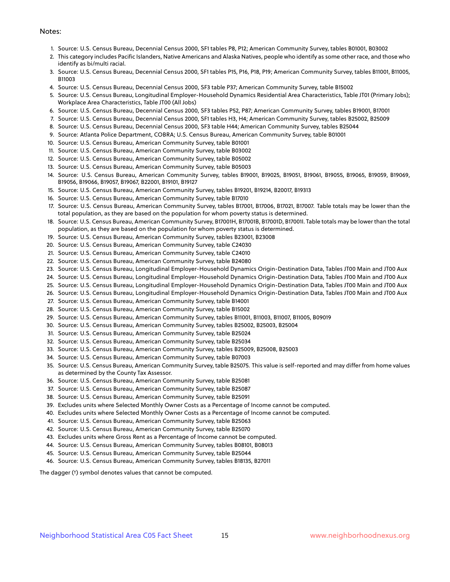#### Notes:

- 1. Source: U.S. Census Bureau, Decennial Census 2000, SF1 tables P8, P12; American Community Survey, tables B01001, B03002
- 2. This category includes Pacific Islanders, Native Americans and Alaska Natives, people who identify as some other race, and those who identify as bi/multi racial.
- 3. Source: U.S. Census Bureau, Decennial Census 2000, SF1 tables P15, P16, P18, P19; American Community Survey, tables B11001, B11005, B11003
- 4. Source: U.S. Census Bureau, Decennial Census 2000, SF3 table P37; American Community Survey, table B15002
- 5. Source: U.S. Census Bureau, Longitudinal Employer-Household Dynamics Residential Area Characteristics, Table JT01 (Primary Jobs); Workplace Area Characteristics, Table JT00 (All Jobs)
- 6. Source: U.S. Census Bureau, Decennial Census 2000, SF3 tables P52, P87; American Community Survey, tables B19001, B17001
- 7. Source: U.S. Census Bureau, Decennial Census 2000, SF1 tables H3, H4; American Community Survey, tables B25002, B25009
- 8. Source: U.S. Census Bureau, Decennial Census 2000, SF3 table H44; American Community Survey, tables B25044
- 9. Source: Atlanta Police Department, COBRA; U.S. Census Bureau, American Community Survey, table B01001
- 10. Source: U.S. Census Bureau, American Community Survey, table B01001
- 11. Source: U.S. Census Bureau, American Community Survey, table B03002
- 12. Source: U.S. Census Bureau, American Community Survey, table B05002
- 13. Source: U.S. Census Bureau, American Community Survey, table B05003
- 14. Source: U.S. Census Bureau, American Community Survey, tables B19001, B19025, B19051, B19061, B19055, B19065, B19059, B19069, B19056, B19066, B19057, B19067, B22001, B19101, B19127
- 15. Source: U.S. Census Bureau, American Community Survey, tables B19201, B19214, B20017, B19313
- 16. Source: U.S. Census Bureau, American Community Survey, table B17010
- 17. Source: U.S. Census Bureau, American Community Survey, tables B17001, B17006, B17021, B17007. Table totals may be lower than the total population, as they are based on the population for whom poverty status is determined.
- 18. Source: U.S. Census Bureau, American Community Survey, B17001H, B17001B, B17001D, B17001I. Table totals may be lower than the total population, as they are based on the population for whom poverty status is determined.
- 19. Source: U.S. Census Bureau, American Community Survey, tables B23001, B23008
- 20. Source: U.S. Census Bureau, American Community Survey, table C24030
- 21. Source: U.S. Census Bureau, American Community Survey, table C24010
- 22. Source: U.S. Census Bureau, American Community Survey, table B24080
- 23. Source: U.S. Census Bureau, Longitudinal Employer-Household Dynamics Origin-Destination Data, Tables JT00 Main and JT00 Aux
- 24. Source: U.S. Census Bureau, Longitudinal Employer-Household Dynamics Origin-Destination Data, Tables JT00 Main and JT00 Aux
- 25. Source: U.S. Census Bureau, Longitudinal Employer-Household Dynamics Origin-Destination Data, Tables JT00 Main and JT00 Aux
- 26. Source: U.S. Census Bureau, Longitudinal Employer-Household Dynamics Origin-Destination Data, Tables JT00 Main and JT00 Aux
- 27. Source: U.S. Census Bureau, American Community Survey, table B14001
- 28. Source: U.S. Census Bureau, American Community Survey, table B15002
- 29. Source: U.S. Census Bureau, American Community Survey, tables B11001, B11003, B11007, B11005, B09019
- 30. Source: U.S. Census Bureau, American Community Survey, tables B25002, B25003, B25004
- 31. Source: U.S. Census Bureau, American Community Survey, table B25024
- 32. Source: U.S. Census Bureau, American Community Survey, table B25034
- 33. Source: U.S. Census Bureau, American Community Survey, tables B25009, B25008, B25003
- 34. Source: U.S. Census Bureau, American Community Survey, table B07003
- 35. Source: U.S. Census Bureau, American Community Survey, table B25075. This value is self-reported and may differ from home values as determined by the County Tax Assessor.
- 36. Source: U.S. Census Bureau, American Community Survey, table B25081
- 37. Source: U.S. Census Bureau, American Community Survey, table B25087
- 38. Source: U.S. Census Bureau, American Community Survey, table B25091
- 39. Excludes units where Selected Monthly Owner Costs as a Percentage of Income cannot be computed.
- 40. Excludes units where Selected Monthly Owner Costs as a Percentage of Income cannot be computed.
- 41. Source: U.S. Census Bureau, American Community Survey, table B25063
- 42. Source: U.S. Census Bureau, American Community Survey, table B25070
- 43. Excludes units where Gross Rent as a Percentage of Income cannot be computed.
- 44. Source: U.S. Census Bureau, American Community Survey, tables B08101, B08013
- 45. Source: U.S. Census Bureau, American Community Survey, table B25044
- 46. Source: U.S. Census Bureau, American Community Survey, tables B18135, B27011

The dagger (†) symbol denotes values that cannot be computed.